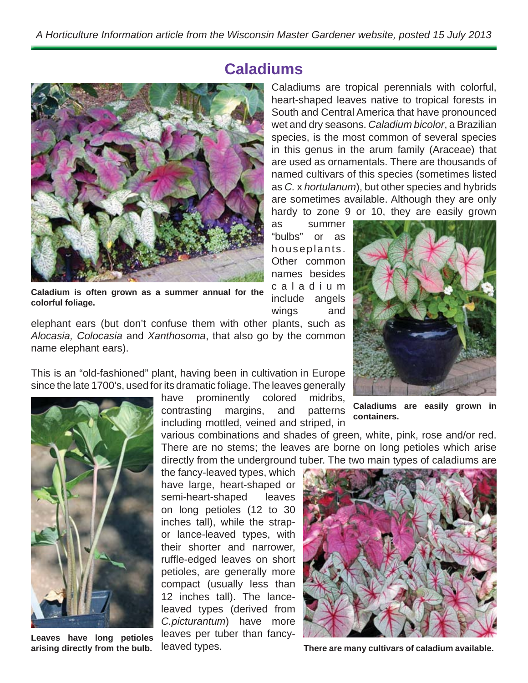**Caladiums**



**Caladium is often grown as a summer annual for the colorful foliage.**

elephant ears (but don't confuse them with other plants, such as *Alocasia, Colocasia* and *Xanthosoma*, that also go by the common name elephant ears).

This is an "old-fashioned" plant, having been in cultivation in Europe since the late 1700's, used for its dramatic foliage. The leaves generally

> have prominently colored midribs, contrasting margins, and patterns including mottled, veined and striped, in

various combinations and shades of green, white, pink, rose and/or red. There are no stems; the leaves are borne on long petioles which arise directly from the underground tuber. The two main types of caladiums are

the fancy-leaved types, which have large, heart-shaped or semi-heart-shaped leaves on long petioles (12 to 30 inches tall), while the strapor lance-leaved types, with their shorter and narrower, ruffle-edged leaves on short petioles, are generally more compact (usually less than 12 inches tall). The lanceleaved types (derived from *C.picturantum*) have more leaves per tuber than fancyleaved types.

Caladiums are tropical perennials with colorful, heart-shaped leaves native to tropical forests in South and Central America that have pronounced wet and dry seasons. *Caladium bicolor*, a Brazilian species, is the most common of several species in this genus in the arum family (Araceae) that are used as ornamentals. There are thousands of named cultivars of this species (sometimes listed as *C.* x *hortulanum*), but other species and hybrids are sometimes available. Although they are only hardy to zone 9 or 10, they are easily grown

as summer "bulbs" or as houseplants. Other common names besides c a l a d i u m include angels wings and



**Caladiums are easily grown in containers.**



**There are many cultivars of caladium available.**

**Leaves have long petioles arising directly from the bulb.**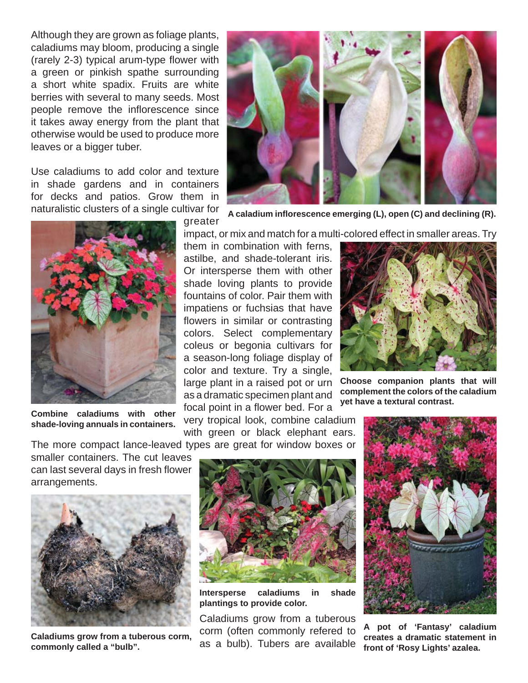Although they are grown as foliage plants, caladiums may bloom, producing a single (rarely 2-3) typical arum-type flower with a green or pinkish spathe surrounding a short white spadix. Fruits are white berries with several to many seeds. Most people remove the inflorescence since it takes away energy from the plant that otherwise would be used to produce more leaves or a bigger tuber.

Use caladiums to add color and texture in shade gardens and in containers for decks and patios. Grow them in naturalistic clusters of a single cultivar for



**Combine caladiums with other shade-loving annuals in containers.**



**A caladium infl orescence emerging (L), open (C) and declining (R).**

impact, or mix and match for a multi-colored effect in smaller areas. Try

them in combination with ferns, astilbe, and shade-tolerant iris. Or intersperse them with other shade loving plants to provide fountains of color. Pair them with impatiens or fuchsias that have flowers in similar or contrasting colors. Select complementary coleus or begonia cultivars for a season-long foliage display of color and texture. Try a single, large plant in a raised pot or urn as a dramatic specimen plant and focal point in a flower bed. For a

very tropical look, combine caladium with green or black elephant ears.



**Choose companion plants that will complement the colors of the caladium yet have a textural contrast.**

The more compact lance-leaved types are great for window boxes or

smaller containers. The cut leaves can last several days in fresh flower arrangements.



**Caladiums grow from a tuberous corm, commonly called a "bulb".**



**Intersperse caladiums in shade plantings to provide color.**

Caladiums grow from a tuberous corm (often commonly refered to as a bulb). Tubers are available



**A pot of 'Fantasy' caladium creates a dramatic statement in front of 'Rosy Lights' azalea.**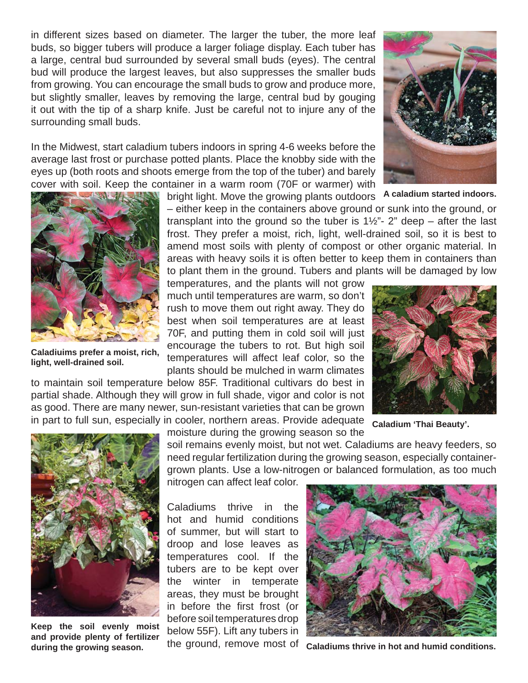in different sizes based on diameter. The larger the tuber, the more leaf buds, so bigger tubers will produce a larger foliage display. Each tuber has a large, central bud surrounded by several small buds (eyes). The central bud will produce the largest leaves, but also suppresses the smaller buds from growing. You can encourage the small buds to grow and produce more, but slightly smaller, leaves by removing the large, central bud by gouging it out with the tip of a sharp knife. Just be careful not to injure any of the surrounding small buds.

In the Midwest, start caladium tubers indoors in spring 4-6 weeks before the average last frost or purchase potted plants. Place the knobby side with the eyes up (both roots and shoots emerge from the top of the tuber) and barely cover with soil. Keep the container in a warm room (70F or warmer) with

bright light. Move the growing plants outdoors – either keep in the containers above ground or sunk into the ground, or

transplant into the ground so the tuber is  $1\frac{1}{2}$ "  $2$ " deep – after the last frost. They prefer a moist, rich, light, well-drained soil, so it is best to amend most soils with plenty of compost or other organic material. In areas with heavy soils it is often better to keep them in containers than to plant them in the ground. Tubers and plants will be damaged by low

temperatures, and the plants will not grow much until temperatures are warm, so don't rush to move them out right away. They do best when soil temperatures are at least 70F, and putting them in cold soil will just encourage the tubers to rot. But high soil temperatures will affect leaf color, so the plants should be mulched in warm climates

to maintain soil temperature below 85F. Traditional cultivars do best in partial shade. Although they will grow in full shade, vigor and color is not as good. There are many newer, sun-resistant varieties that can be grown in part to full sun, especially in cooler, northern areas. Provide adequate

moisture during the growing season so the soil remains evenly moist, but not wet. Caladiums are heavy feeders, so **Caladium 'Thai Beauty'.**

need regular fertilization during the growing season, especially containergrown plants. Use a low-nitrogen or balanced formulation, as too much nitrogen can affect leaf color.

Caladiums thrive in the hot and humid conditions of summer, but will start to droop and lose leaves as temperatures cool. If the tubers are to be kept over the winter in temperate areas, they must be brought in before the first frost (or before soil temperatures drop below 55F). Lift any tubers in the ground, remove most of

**Caladiums thrive in hot and humid conditions.**





**Caladiuims prefer a moist, rich, light, well-drained soil.**



**A caladium started indoors.**



**Keep the soil evenly moist and provide plenty of fertilizer during the growing season.**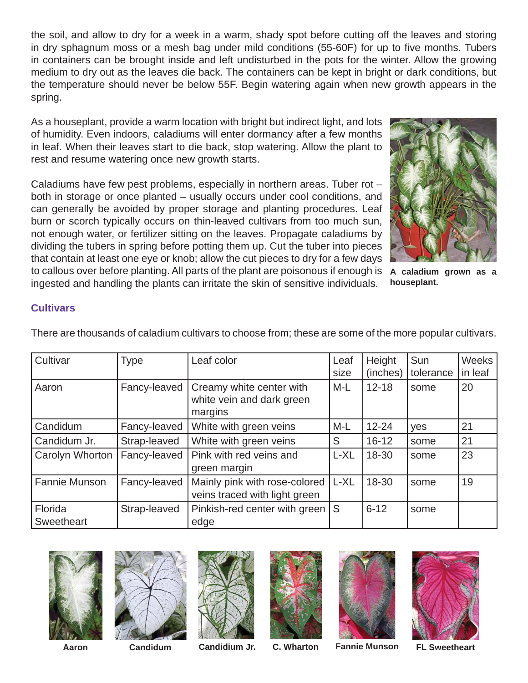the soil, and allow to dry for a week in a warm, shady spot before cutting off the leaves and storing in dry sphagnum moss or a mesh bag under mild conditions (55-60F) for up to five months. Tubers in containers can be brought inside and left undisturbed in the pots for the winter. Allow the growing medium to dry out as the leaves die back. The containers can be kept in bright or dark conditions, but the temperature should never be below 55F. Begin watering again when new growth appears in the spring.

As a houseplant, provide a warm location with bright but indirect light, and lots of humidity. Even indoors, caladiums will enter dormancy after a few months in leaf. When their leaves start to die back, stop watering. Allow the plant to rest and resume watering once new growth starts.

Caladiums have few pest problems, especially in northern areas. Tuber rot – both in storage or once planted – usually occurs under cool conditions, and can generally be avoided by proper storage and planting procedures. Leaf burn or scorch typically occurs on thin-leaved cultivars from too much sun, not enough water, or fertilizer sitting on the leaves. Propagate caladiums by dividing the tubers in spring before potting them up. Cut the tuber into pieces that contain at least one eye or knob; allow the cut pieces to dry for a few days to callous over before planting. All parts of the plant are poisonous if enough is **A caladium grown as a**  ingested and handling the plants can irritate the skin of sensitive individuals.



**houseplant.**

## **Cultivars**

There are thousands of caladium cultivars to choose from; these are some of the more popular cultivars.

| Cultivar              | Type         | Leaf color                                                       | Leaf    | Height    | Sun       | Weeks   |
|-----------------------|--------------|------------------------------------------------------------------|---------|-----------|-----------|---------|
|                       |              |                                                                  | size    | (inches)  | tolerance | in leaf |
| Aaron                 | Fancy-leaved | Creamy white center with<br>white vein and dark green<br>margins | M-L     | $12 - 18$ | some      | 20      |
| Candidum              | Fancy-leaved | White with green veins                                           | M-L     | $12 - 24$ | yes       | 21      |
| Candidum Jr.          | Strap-leaved | White with green veins                                           | S       | $16 - 12$ | some      | 21      |
| Carolyn Whorton       | Fancy-leaved | Pink with red veins and<br>green margin                          | L-XL    | 18-30     | some      | 23      |
| Fannie Munson         | Fancy-leaved | Mainly pink with rose-colored<br>veins traced with light green   | $ L-XL$ | 18-30     | some      | 19      |
| Florida<br>Sweetheart | Strap-leaved | Pinkish-red center with green S<br>edge                          |         | $6 - 12$  | some      |         |













**Aaron**

**Candidum Candidium Jr. C. Wharton Fannie Munson FL Sweetheart**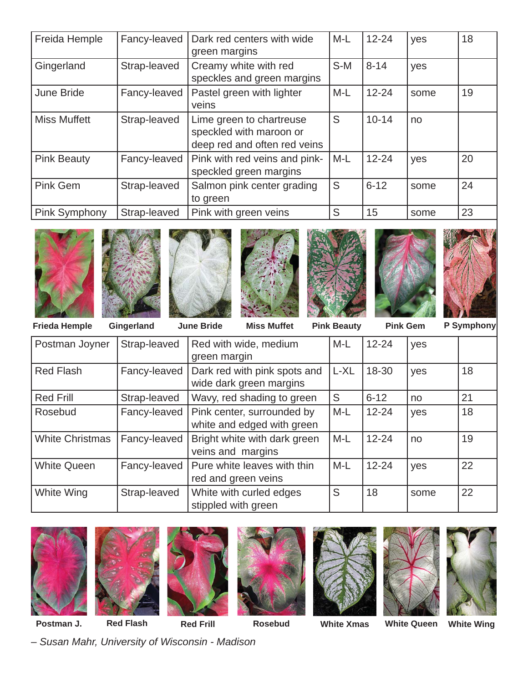| Freida Hemple       | Fancy-leaved | Dark red centers with wide<br>green margins                                         | $M-L$ | $12 - 24$ | yes  | 18 |
|---------------------|--------------|-------------------------------------------------------------------------------------|-------|-----------|------|----|
| Gingerland          | Strap-leaved | Creamy white with red<br>speckles and green margins                                 | $S-M$ | $8 - 14$  | yes  |    |
| June Bride          | Fancy-leaved | Pastel green with lighter<br>veins                                                  | $M-L$ | $12 - 24$ | some | 19 |
| <b>Miss Muffett</b> | Strap-leaved | Lime green to chartreuse<br>speckled with maroon or<br>deep red and often red veins | S     | $10 - 14$ | no   |    |
| <b>Pink Beauty</b>  | Fancy-leaved | Pink with red veins and pink-<br>speckled green margins                             | $M-L$ | $12 - 24$ | yes  | 20 |
| Pink Gem            | Strap-leaved | Salmon pink center grading<br>to green                                              | S     | $6 - 12$  | some | 24 |
| Pink Symphony       | Strap-leaved | Pink with green veins                                                               | S     | 15        | some | 23 |















**Frieda Hemple** Gingerland June Bride Miss Muffet Pink Beauty Pink Gem P Symphony

**Pink Beauty** 

| Postman Joyner         | Strap-leaved | Red with wide, medium<br>green margin                    | M-L   | $12 - 24$ | yes  |    |
|------------------------|--------------|----------------------------------------------------------|-------|-----------|------|----|
| <b>Red Flash</b>       | Fancy-leaved | Dark red with pink spots and<br>wide dark green margins  | L-XL  | 18-30     | yes  | 18 |
| <b>Red Frill</b>       | Strap-leaved | Wavy, red shading to green                               | S     | $6 - 12$  | no   | 21 |
| Rosebud                | Fancy-leaved | Pink center, surrounded by<br>white and edged with green | $M-L$ | $12 - 24$ | yes  | 18 |
| <b>White Christmas</b> | Fancy-leaved | Bright white with dark green<br>veins and margins        | $M-L$ | $12 - 24$ | no   | 19 |
| <b>White Queen</b>     | Fancy-leaved | Pure white leaves with thin<br>red and green veins       | $M-L$ | $12 - 24$ | yes  | 22 |
| White Wing             | Strap-leaved | White with curled edges<br>stippled with green           | S     | 18        | some | 22 |















**Postman J.**

**Red Flash Red Frill Rosebud White Xmas White Queen White Wing**

*– Susan Mahr, University of Wisconsin - Madison*